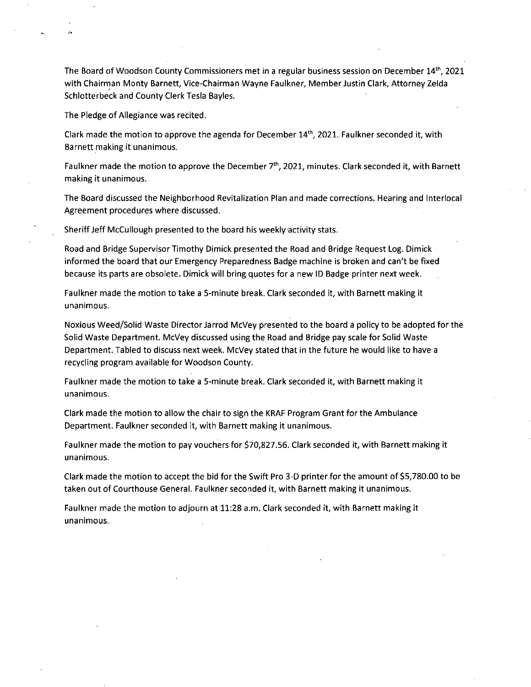The Board of Woodson County Commissioners met in a regular business session on December 14th, 2021 with Chairman Monty Barnett, Vice-Chairman Wayne Faulkner, Member Justin Clark, Attorney Zelda Schlotterbeck and County Clerk Tesla Bayles.

The Pledge of Allegiance was recited.

Clark made the motion to approve the agenda for December  $14<sup>th</sup>$ , 2021. Faulkner seconded it, with Barnett making it unanimous.

Faulkner made the motion to approve the December 7<sup>th</sup>, 2021, minutes. Clark seconded it, with Barnett making it unanimous.

The Board discussed the Neighborhood Revitalization Plan and made corrections. Hearing and Interlocal Agreement procedures where discussed.

Sheriff Jeff McCullough presented to the board his weekly activity stats.

Road and Bridge Supervisor Timothy Dimick presented the Road and Bridge Request Log. Dimick informed the board that our Emergency Preparedness Badge machine is broken and can't be fixed because its parts are obsolete. Dimick will bring quotes for a new ID Badge printer next week.

Faulkner made the motion to take a 5-minute break. Clark seconded it, with Barnett making it unanimous.

Noxious Weed/Solid Waste Director Jarrod McVey presented to the board a policy to be adopted for the Solid Waste Department. McVey discussed using the Road and Bridge pay scale for Solid Waste Department. Tabled to discuss next week. McVey stated that in the future he would like to have a recycling program available for Woodson County.

Faulkner made the motion to take a 5-minute break. Clark seconded it, with Barnett making it unanimous.

Clark made the motion to allow the chair to sign the KRAF Program Grant for the Ambulance Department. Faulkner seconded it, with Barnett making it unanimous.

Faulkner made the motion to pay vouchers for \$70,827.56. Clark seconded it, with Barnett making it unanimous.

Clark made the motion to accept the bid for the Swift Pro 3-D printer for the amount of \$5,780.00 to be taken out of Courthouse General. Faulkner seconded it, with Barnett making it unanimous.

Faulkner made the motion to adjourn at 11:28 a.m. Clark seconded it, with Barnett making it unanimous.